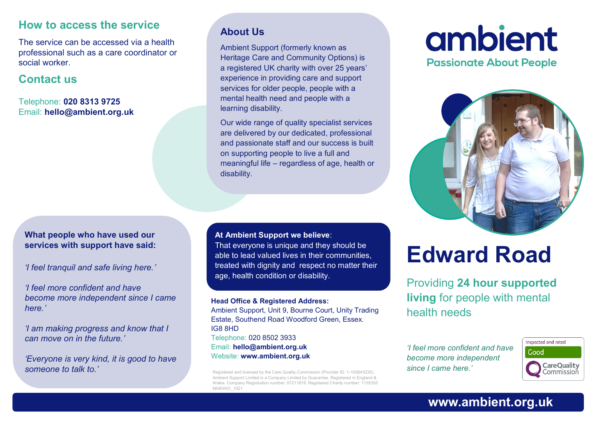#### **How to access the service**

The service can be accessed via a health professional such as a care coordinator or social worker.

#### **Contact us**

Telephone: **020 8313 9725** Email: **hello@ambient.org.uk** 

#### **What people who have used our services with support have said:**

*'I feel tranquil and safe living here.'*

*'I feel more confident and have become more independent since I came here.'*

*'I am making progress and know that I can move on in the future.'*

*'Everyone is very kind, it is good to have someone to talk to.'*

#### **About Us**

Ambient Support (formerly known as Heritage Care and Community Options) is a registered UK charity with over 25 years' experience in providing care and support services for older people, people with a mental health need and people with a learning disability.

Our wide range of quality specialist services are delivered by our dedicated, professional and passionate staff and our success is built on supporting people to live a full and meaningful life – regardless of age, health or disability.

**At Ambient Support we believe**:

That everyone is unique and they should be able to lead valued lives in their communities, treated with dignity and respect no matter their age, health condition or disability.

#### **Head Office & Registered Address:**

Ambient Support, Unit 9, Bourne Court, Unity Trading Estate, Southend Road Woodford Green, Essex. IG8 8HD Telephone: 020 8502 3933 Email: **hello@ambient.org.uk** Website: **www.ambient.org.uk**

Registered and licensed by the Care Quality Commission (Provider ID: 1-102643235). Ambient Support Limited is a Company Limited by Guarantee. Registered in England & Wales. Company Registration number: 07211819. Registered Charity number: 1135353 MHEW01\_1021

## ambient **Passionate About People**



# **Edward Road**

Providing **24 hour supported living** for people with mental health needs

*'I feel more confident and have become more independent since I came here.'*



#### **www.ambient.org.uk**